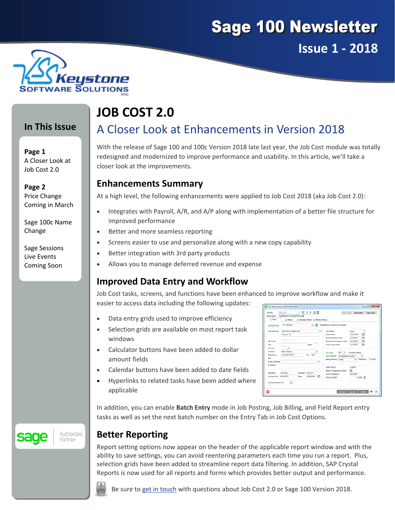# **Sage 100 Newsletter Issue 1 ‐ 2018**



### **In This Issue**

**Page 1** A Closer Look at Job Cost 2.0

**Page 2** Price Change Coming in March

Sage 100c Name Change

#### Sage Sessions Live Events Coming Soon

# **JOB COST 2.0**

## A Closer Look at Enhancements in Version 2018

With the release of Sage 100 and 100c Version 2018 late last year, the Job Cost module was totally redesigned and modernized to improve performance and usability. In this article, we'll take a closer look at the improvements.

#### **Enhancements Summary**

At a high level, the following enhancements were applied to Job Cost 2018 (aka Job Cost 2.0):

- Integrates with Payroll, A/R, and A/P along with implementation of a better file structure for improved performance
- Better and more seamless reporting
- Screens easier to use and personalize along with a new copy capability
- Better integration with 3rd party products
- Allows you to manage deferred revenue and expense

### **Improved Data Entry and Workflow**

Job Cost tasks, screens, and functions have been enhanced to improve workflow and make it easier to access data including the following updates:

- Data entry grids used to improve efficiency
- Selection grids are available on most report task windows
- Calculator buttons have been added to dollar amount fields
- Calendar buttons have been added to date fields
- Hyperlinks to related tasks have been added where applicable

| Description         | Saddieback-Hospital Remodel |      |                                     |          |                                                                                      |                           |                                                                    |           |        |
|---------------------|-----------------------------|------|-------------------------------------|----------|--------------------------------------------------------------------------------------|---------------------------|--------------------------------------------------------------------|-----------|--------|
| 1. Main             | 2. Status                   |      | 3. Change Orders 4. Billing History |          |                                                                                      |                           |                                                                    |           |        |
| Customer No.        | 01-SADDLE                   |      | ۰                                   |          | Saddleback Community Hospital                                                        |                           |                                                                    |           |        |
| <b>Job Address</b>  | 1234 Olive Heights Rd.      |      |                                     | Ø        | <b>Job Status</b>                                                                    |                           | Open                                                               |           |        |
|                     | Orange, CA                  |      |                                     |          | <b>Status Date</b>                                                                   |                           | 曲<br>5/31/2020<br>繭<br>5/1/2020<br>齝<br>8/31/2020<br>商<br>5/1/2020 |           |        |
|                     |                             |      |                                     |          | <b>Estimated Start Date</b><br><b>Estimated Completion Date</b><br>Actual Start Date |                           |                                                                    |           |        |
| ZP Code             |                             |      |                                     |          |                                                                                      |                           |                                                                    |           |        |
| City                |                             |      | State                               |          |                                                                                      |                           |                                                                    |           |        |
| Country             | Ω                           |      |                                     |          |                                                                                      |                           |                                                                    |           |        |
| Contact             | <b>Mke Shapiro</b>          |      |                                     | Ω        | <b>Job Type</b>                                                                      |                           | 001 O Contract Billing                                             |           |        |
| Telephone           | (714) 633-2571              |      | Ext 545                             |          | <b>Acct Method</b>                                                                   | <b>Completed Contract</b> |                                                                    |           |        |
| Fax                 |                             |      |                                     |          | <b>Billing Method</b> Fored                                                          |                           | ۰                                                                  | Retention | 20,00% |
| E-mail Address      |                             |      |                                     | <b>B</b> |                                                                                      |                           |                                                                    |           |        |
| Comment             |                             |      |                                     |          | SORT FELD                                                                            |                           | <b>CLENT</b>                                                       |           |        |
|                     |                             |      |                                     |          | <b>Retain Transaction Detail</b>                                                     |                           | ☞                                                                  |           |        |
| Estimator           | <b>JACOBS</b>               |      | Manager ELLIOTT                     |          | <b>Unit of Measure</b>                                                               |                           | SQ FEET<br>10,000 11                                               |           |        |
| Contract No.        | 2250-RTJ                    | Date | 4/25/2020                           | 酯        | <b>Total SQ FEET</b>                                                                 |                           |                                                                    |           |        |
| Calculate Sales Tax | □                           |      |                                     |          |                                                                                      |                           |                                                                    |           |        |

In addition, you can enable **Batch Entry** mode in Job Posting, Job Billing, and Field Report entry tasks as well as set the next batch number on the Entry Tab in Job Cost Options.

### **Better Reporting**

Report setting options now appear on the header of the applicable report window and with the ability to save settings, you can avoid reentering parameters each time you run a report. Plus, selection grids have been added to streamline report data filtering. In addition, SAP Crystal Reports is now used for all reports and forms which provides better output and performance.



Authorized

Partner

sage